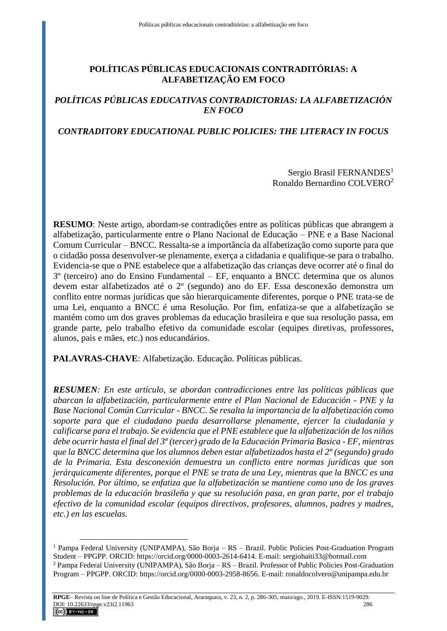# **POLÍTICAS PÚBLICAS EDUCACIONAIS CONTRADITÓRIAS: A ALFABETIZAÇÃO EM FOCO**

# *POLÍTICAS PÚBLICAS EDUCATIVAS CONTRADICTORIAS: LA ALFABETIZACIÓN EN FOCO*

## *CONTRADITORY EDUCATIONAL PUBLIC POLICIES: THE LITERACY IN FOCUS*

### Sergio Brasil FERNANDES<sup>1</sup> Ronaldo Bernardino COLVERO<sup>2</sup>

**RESUMO**: Neste artigo, abordam-se contradições entre as políticas públicas que abrangem a alfabetização, particularmente entre o Plano Nacional de Educação – PNE e a Base Nacional Comum Curricular – BNCC. Ressalta-se a importância da alfabetização como suporte para que o cidadão possa desenvolver-se plenamente, exerça a cidadania e qualifique-se para o trabalho. Evidencia-se que o PNE estabelece que a alfabetização das crianças deve ocorrer até o final do 3º (terceiro) ano do Ensino Fundamental – EF, enquanto a BNCC determina que os alunos devem estar alfabetizados até o 2º (segundo) ano do EF. Essa desconexão demonstra um conflito entre normas jurídicas que são hierarquicamente diferentes, porque o PNE trata-se de uma Lei, enquanto a BNCC é uma Resolução. Por fim, enfatiza-se que a alfabetização se mantém como um dos graves problemas da educação brasileira e que sua resolução passa, em grande parte, pelo trabalho efetivo da comunidade escolar (equipes diretivas, professores, alunos, pais e mães, etc.) nos educandários.

**PALAVRAS-CHAVE**: Alfabetização. Educação. Políticas públicas.

 $\overline{a}$ 

*RESUMEN: En este artículo, se abordan contradicciones entre las políticas públicas que abarcan la alfabetización, particularmente entre el Plan Nacional de Educación - PNE y la Base Nacional Común Curricular - BNCC. Se resalta la importancia de la alfabetización como soporte para que el ciudadano pueda desarrollarse plenamente, ejercer la ciudadanía y calificarse para el trabajo. Se evidencia que el PNE establece que la alfabetización de los niños debe ocurrir hasta el final del 3º (tercer) grado de la Educación Primaria Basica - EF, mientras que la BNCC determina que los alumnos deben estar alfabetizados hasta el 2º (segundo) grado de la Primaria. Esta desconexión demuestra un conflicto entre normas jurídicas que son jerárquicamente diferentes, porque el PNE se trata de una Ley, mientras que la BNCC es una Resolución. Por último, se enfatiza que la alfabetización se mantiene como uno de los graves problemas de la educación brasileña y que su resolución pasa, en gran parte, por el trabajo efectivo de la comunidad escolar (equipos directivos, profesores, alumnos, padres y madres, etc.) en las escuelas.*

<sup>1</sup> Pampa Federal University (UNIPAMPA), São Borja – RS – Brazil. Public Policies Post-Graduation Program Student – PPGPP. ORCID: https://orcid.org/0000-0003-2614-6414. E-mail: sergiohaiti33@hotmail.com <sup>2</sup> Pampa Federal University (UNIPAMPA), São Borja – RS – Brazil. Professor of Public Policies Post-Graduation Program – PPGPP. ORCID: https://orcid.org/0000-0003-2958-8656. E-mail: ronaldocolvero@unipampa.edu.br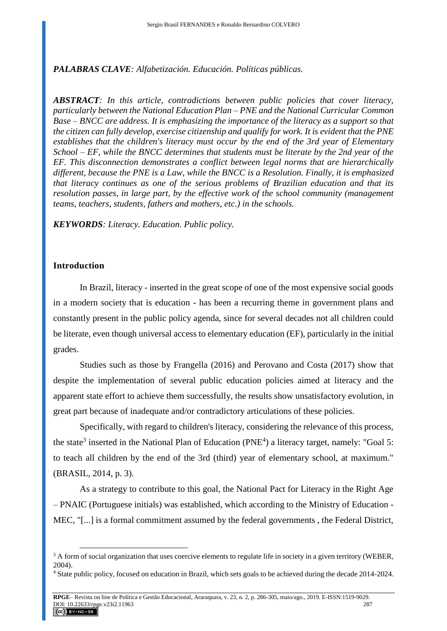### *PALABRAS CLAVE: Alfabetización. Educación. Políticas públicas.*

*ABSTRACT: In this article, contradictions between public policies that cover literacy, particularly between the National Education Plan – PNE and the National Curricular Common Base – BNCC are address. It is emphasizing the importance of the literacy as a support so that the citizen can fully develop, exercise citizenship and qualify for work. It is evident that the PNE establishes that the children's literacy must occur by the end of the 3rd year of Elementary School – EF, while the BNCC determines that students must be literate by the 2nd year of the EF. This disconnection demonstrates a conflict between legal norms that are hierarchically different, because the PNE is a Law, while the BNCC is a Resolution. Finally, it is emphasized that literacy continues as one of the serious problems of Brazilian education and that its resolution passes, in large part, by the effective work of the school community (management teams, teachers, students, fathers and mothers, etc.) in the schools.*

*KEYWORDS: Literacy. Education. Public policy.*

#### **Introduction**

 $\overline{a}$ 

In Brazil, literacy - inserted in the great scope of one of the most expensive social goods in a modern society that is education - has been a recurring theme in government plans and constantly present in the public policy agenda, since for several decades not all children could be literate, even though universal access to elementary education (EF), particularly in the initial grades.

Studies such as those by Frangella (2016) and Perovano and Costa (2017) show that despite the implementation of several public education policies aimed at literacy and the apparent state effort to achieve them successfully, the results show unsatisfactory evolution, in great part because of inadequate and/or contradictory articulations of these policies.

Specifically, with regard to children's literacy, considering the relevance of this process, the state<sup>3</sup> inserted in the National Plan of Education (PNE<sup>4</sup>) a literacy target, namely: "Goal 5: to teach all children by the end of the 3rd (third) year of elementary school, at maximum." (BRASIL, 2014, p. 3).

As a strategy to contribute to this goal, the National Pact for Literacy in the Right Age – PNAIC (Portuguese initials) was established, which according to the Ministry of Education - MEC, "[...] is a formal commitment assumed by the federal governments , the Federal District,

<sup>&</sup>lt;sup>3</sup> A form of social organization that uses coercive elements to regulate life in society in a given territory (WEBER, 2004).

<sup>4</sup> State public policy, focused on education in Brazil, which sets goals to be achieved during the decade 2014-2024.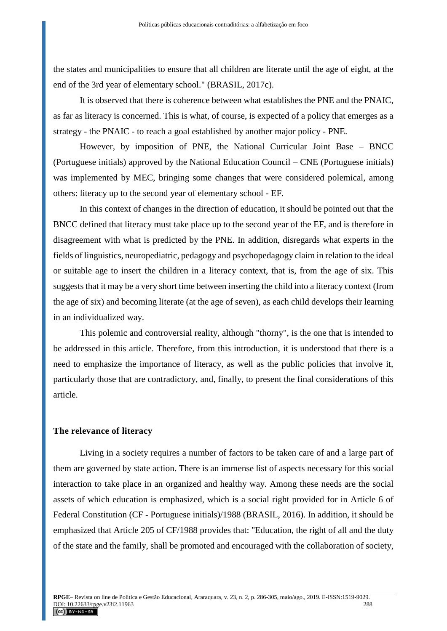the states and municipalities to ensure that all children are literate until the age of eight, at the end of the 3rd year of elementary school." (BRASIL, 2017c).

It is observed that there is coherence between what establishes the PNE and the PNAIC, as far as literacy is concerned. This is what, of course, is expected of a policy that emerges as a strategy - the PNAIC - to reach a goal established by another major policy - PNE.

However, by imposition of PNE, the National Curricular Joint Base – BNCC (Portuguese initials) approved by the National Education Council – CNE (Portuguese initials) was implemented by MEC, bringing some changes that were considered polemical, among others: literacy up to the second year of elementary school - EF.

In this context of changes in the direction of education, it should be pointed out that the BNCC defined that literacy must take place up to the second year of the EF, and is therefore in disagreement with what is predicted by the PNE. In addition, disregards what experts in the fields of linguistics, neuropediatric, pedagogy and psychopedagogy claim in relation to the ideal or suitable age to insert the children in a literacy context, that is, from the age of six. This suggests that it may be a very short time between inserting the child into a literacy context (from the age of six) and becoming literate (at the age of seven), as each child develops their learning in an individualized way.

This polemic and controversial reality, although "thorny", is the one that is intended to be addressed in this article. Therefore, from this introduction, it is understood that there is a need to emphasize the importance of literacy, as well as the public policies that involve it, particularly those that are contradictory, and, finally, to present the final considerations of this article.

### **The relevance of literacy**

Living in a society requires a number of factors to be taken care of and a large part of them are governed by state action. There is an immense list of aspects necessary for this social interaction to take place in an organized and healthy way. Among these needs are the social assets of which education is emphasized, which is a social right provided for in Article 6 of Federal Constitution (CF - Portuguese initials)/1988 (BRASIL, 2016). In addition, it should be emphasized that Article 205 of CF/1988 provides that: "Education, the right of all and the duty of the state and the family, shall be promoted and encouraged with the collaboration of society,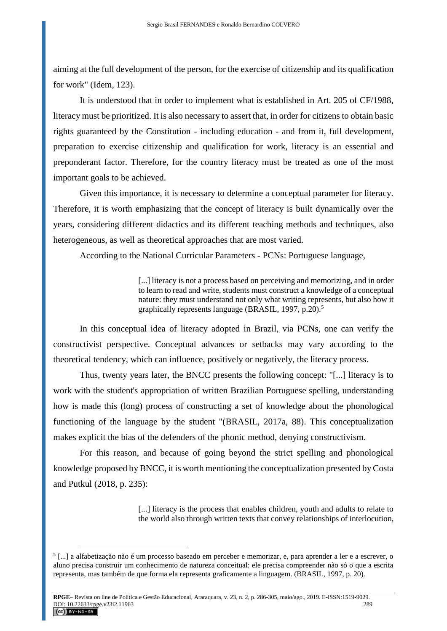aiming at the full development of the person, for the exercise of citizenship and its qualification for work" (Idem, 123).

It is understood that in order to implement what is established in Art. 205 of CF/1988, literacy must be prioritized. It is also necessary to assert that, in order for citizens to obtain basic rights guaranteed by the Constitution - including education - and from it, full development, preparation to exercise citizenship and qualification for work, literacy is an essential and preponderant factor. Therefore, for the country literacy must be treated as one of the most important goals to be achieved.

Given this importance, it is necessary to determine a conceptual parameter for literacy. Therefore, it is worth emphasizing that the concept of literacy is built dynamically over the years, considering different didactics and its different teaching methods and techniques, also heterogeneous, as well as theoretical approaches that are most varied.

According to the National Curricular Parameters - PCNs: Portuguese language,

[...] literacy is not a process based on perceiving and memorizing, and in order to learn to read and write, students must construct a knowledge of a conceptual nature: they must understand not only what writing represents, but also how it graphically represents language (BRASIL, 1997, p.20).<sup>5</sup>

In this conceptual idea of literacy adopted in Brazil, via PCNs, one can verify the constructivist perspective. Conceptual advances or setbacks may vary according to the theoretical tendency, which can influence, positively or negatively, the literacy process.

Thus, twenty years later, the BNCC presents the following concept: "[...] literacy is to work with the student's appropriation of written Brazilian Portuguese spelling, understanding how is made this (long) process of constructing a set of knowledge about the phonological functioning of the language by the student "(BRASIL, 2017a, 88). This conceptualization makes explicit the bias of the defenders of the phonic method, denying constructivism.

For this reason, and because of going beyond the strict spelling and phonological knowledge proposed by BNCC, it is worth mentioning the conceptualization presented by Costa and Putkul (2018, p. 235):

> [...] literacy is the process that enables children, youth and adults to relate to the world also through written texts that convey relationships of interlocution,

<sup>5</sup> [...] a alfabetização não é um processo baseado em perceber e memorizar, e, para aprender a ler e a escrever, o aluno precisa construir um conhecimento de natureza conceitual: ele precisa compreender não só o que a escrita representa, mas também de que forma ela representa graficamente a linguagem. (BRASIL, 1997, p. 20).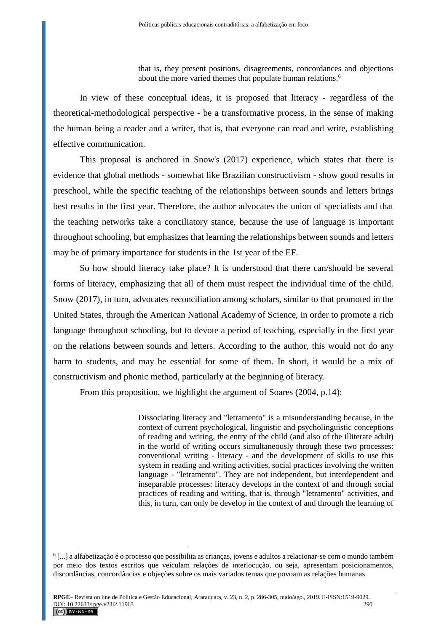that is, they present positions, disagreements, concordances and objections about the more varied themes that populate human relations.<sup>6</sup>

In view of these conceptual ideas, it is proposed that literacy - regardless of the theoretical-methodological perspective - be a transformative process, in the sense of making the human being a reader and a writer, that is, that everyone can read and write, establishing effective communication.

This proposal is anchored in Snow's (2017) experience, which states that there is evidence that global methods - somewhat like Brazilian constructivism - show good results in preschool, while the specific teaching of the relationships between sounds and letters brings best results in the first year. Therefore, the author advocates the union of specialists and that the teaching networks take a conciliatory stance, because the use of language is important throughout schooling, but emphasizes that learning the relationships between sounds and letters may be of primary importance for students in the 1st year of the EF.

So how should literacy take place? It is understood that there can/should be several forms of literacy, emphasizing that all of them must respect the individual time of the child. Snow (2017), in turn, advocates reconciliation among scholars, similar to that promoted in the United States, through the American National Academy of Science, in order to promote a rich language throughout schooling, but to devote a period of teaching, especially in the first year on the relations between sounds and letters. According to the author, this would not do any harm to students, and may be essential for some of them. In short, it would be a mix of constructivism and phonic method, particularly at the beginning of literacy.

From this proposition, we highlight the argument of Soares (2004, p.14):

Dissociating literacy and "letramento" is a misunderstanding because, in the context of current psychological, linguistic and psycholinguistic conceptions of reading and writing, the entry of the child (and also of the illiterate adult) in the world of writing occurs simultaneously through these two processes: conventional writing - literacy - and the development of skills to use this system in reading and writing activities, social practices involving the written language - "letramento". They are not independent, but interdependent and inseparable processes: literacy develops in the context of and through social practices of reading and writing, that is, through "letramento" activities, and this, in turn, can only be develop in the context of and through the learning of

<sup>6</sup> [...] a alfabetização é o processo que possibilita as crianças, jovens e adultos a relacionar-se com o mundo também por meio dos textos escritos que veiculam relações de interlocução, ou seja, apresentam posicionamentos, discordâncias, concordâncias e objeções sobre os mais variados temas que povoam as relações humanas.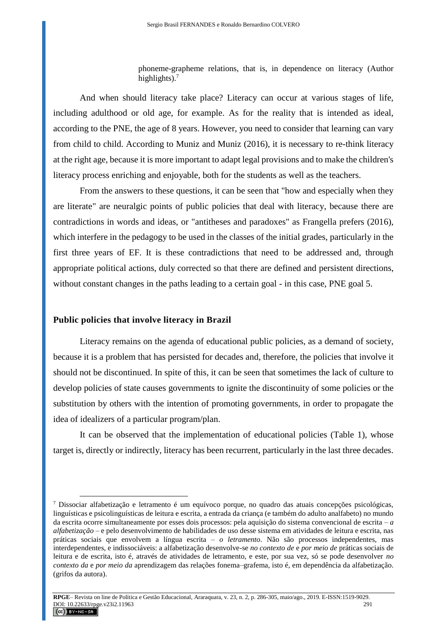phoneme-grapheme relations, that is, in dependence on literacy (Author highlights).<sup>7</sup>

And when should literacy take place? Literacy can occur at various stages of life, including adulthood or old age, for example. As for the reality that is intended as ideal, according to the PNE, the age of 8 years. However, you need to consider that learning can vary from child to child. According to Muniz and Muniz (2016), it is necessary to re-think literacy at the right age, because it is more important to adapt legal provisions and to make the children's literacy process enriching and enjoyable, both for the students as well as the teachers.

From the answers to these questions, it can be seen that "how and especially when they are literate" are neuralgic points of public policies that deal with literacy, because there are contradictions in words and ideas, or "antitheses and paradoxes" as Frangella prefers (2016), which interfere in the pedagogy to be used in the classes of the initial grades, particularly in the first three years of EF. It is these contradictions that need to be addressed and, through appropriate political actions, duly corrected so that there are defined and persistent directions, without constant changes in the paths leading to a certain goal - in this case, PNE goal 5.

#### **Public policies that involve literacy in Brazil**

 $\overline{a}$ 

Literacy remains on the agenda of educational public policies, as a demand of society, because it is a problem that has persisted for decades and, therefore, the policies that involve it should not be discontinued. In spite of this, it can be seen that sometimes the lack of culture to develop policies of state causes governments to ignite the discontinuity of some policies or the substitution by others with the intention of promoting governments, in order to propagate the idea of idealizers of a particular program/plan.

It can be observed that the implementation of educational policies (Table 1), whose target is, directly or indirectly, literacy has been recurrent, particularly in the last three decades.

 $^7$  Dissociar alfabetização e letramento é um equívoco porque, no quadro das atuais concepções psicológicas, linguísticas e psicolinguísticas de leitura e escrita, a entrada da criança (e também do adulto analfabeto) no mundo da escrita ocorre simultaneamente por esses dois processos: pela aquisição do sistema convencional de escrita – *a alfabetização* – e pelo desenvolvimento de habilidades de uso desse sistema em atividades de leitura e escrita, nas práticas sociais que envolvem a língua escrita – *o letramento*. Não são processos independentes, mas interdependentes, e indissociáveis: a alfabetização desenvolve-se *no contexto de* e *por meio de* práticas sociais de leitura e de escrita, isto é, através de atividades de letramento, e este, por sua vez, só se pode desenvolver *no contexto da* e *por meio da* aprendizagem das relações fonema–grafema, isto é, em dependência da alfabetização. (grifos da autora).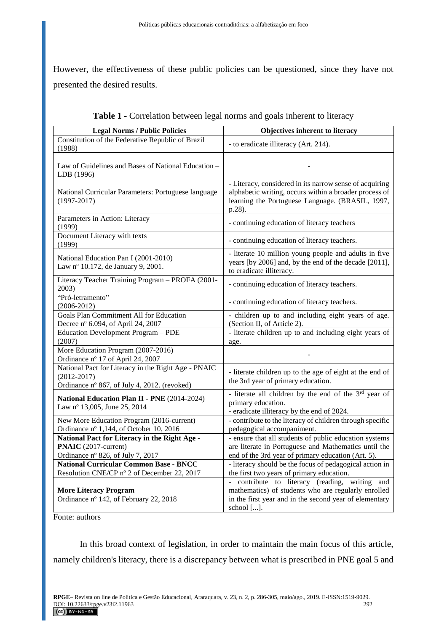However, the effectiveness of these public policies can be questioned, since they have not presented the desired results.

| <b>Legal Norms / Public Policies</b>                                                                                   | Objectives inherent to literacy                                                                                                                                                        |
|------------------------------------------------------------------------------------------------------------------------|----------------------------------------------------------------------------------------------------------------------------------------------------------------------------------------|
| Constitution of the Federative Republic of Brazil                                                                      | - to eradicate illiteracy (Art. 214).                                                                                                                                                  |
| (1988)                                                                                                                 |                                                                                                                                                                                        |
| Law of Guidelines and Bases of National Education –<br>LDB (1996)                                                      |                                                                                                                                                                                        |
| National Curricular Parameters: Portuguese language<br>$(1997 - 2017)$                                                 | - Literacy, considered in its narrow sense of acquiring<br>alphabetic writing, occurs within a broader process of<br>learning the Portuguese Language. (BRASIL, 1997,<br>p.28).        |
| Parameters in Action: Literacy<br>(1999)                                                                               | - continuing education of literacy teachers                                                                                                                                            |
| Document Literacy with texts<br>(1999)                                                                                 | - continuing education of literacy teachers.                                                                                                                                           |
| National Education Pan I (2001-2010)<br>Law nº 10.172, de January 9, 2001.                                             | - literate 10 million young people and adults in five<br>years [by 2006] and, by the end of the decade [2011],<br>to eradicate illiteracy.                                             |
| Literacy Teacher Training Program - PROFA (2001-<br>2003)                                                              | - continuing education of literacy teachers.                                                                                                                                           |
| "Pró-letramento"<br>$(2006 - 2012)$                                                                                    | - continuing education of literacy teachers.                                                                                                                                           |
| <b>Goals Plan Commitment All for Education</b><br>Decree nº 6.094, of April 24, 2007                                   | - children up to and including eight years of age.<br>(Section II, of Article 2).                                                                                                      |
| Education Development Program - PDE<br>(2007)                                                                          | - literate children up to and including eight years of<br>age.                                                                                                                         |
| More Education Program (2007-2016)<br>Ordinance nº 17 of April 24, 2007                                                |                                                                                                                                                                                        |
| National Pact for Literacy in the Right Age - PNAIC<br>$(2012 - 2017)$<br>Ordinance nº 867, of July 4, 2012. (revoked) | - literate children up to the age of eight at the end of<br>the 3rd year of primary education.                                                                                         |
| National Education Plan II - PNE (2014-2024)<br>Law nº 13,005, June 25, 2014                                           | - literate all children by the end of the 3rd year of<br>primary education.<br>- eradicate illiteracy by the end of 2024.                                                              |
| New More Education Program (2016-current)<br>Ordinance nº 1,144, of October 10, 2016                                   | - contribute to the literacy of children through specific<br>pedagogical accompaniment.                                                                                                |
| National Pact for Literacy in the Right Age -                                                                          | - ensure that all students of public education systems                                                                                                                                 |
| PNAIC (2017-current)                                                                                                   | are literate in Portuguese and Mathematics until the                                                                                                                                   |
| Ordinance nº 826, of July 7, 2017                                                                                      | end of the 3rd year of primary education (Art. 5).                                                                                                                                     |
| <b>National Curricular Common Base - BNCC</b>                                                                          | - literacy should be the focus of pedagogical action in                                                                                                                                |
| Resolution CNE/CP nº 2 of December 22, 2017                                                                            | the first two years of primary education.                                                                                                                                              |
| <b>More Literacy Program</b><br>Ordinance nº 142, of February 22, 2018                                                 | - contribute to literacy (reading,<br>writing<br>and<br>mathematics) of students who are regularly enrolled<br>in the first year and in the second year of elementary<br>school $[]$ . |

|  | Table 1 - Correlation between legal norms and goals inherent to literacy |  |  |  |  |
|--|--------------------------------------------------------------------------|--|--|--|--|
|--|--------------------------------------------------------------------------|--|--|--|--|

Fonte: authors

In this broad context of legislation, in order to maintain the main focus of this article, namely children's literacy, there is a discrepancy between what is prescribed in PNE goal 5 and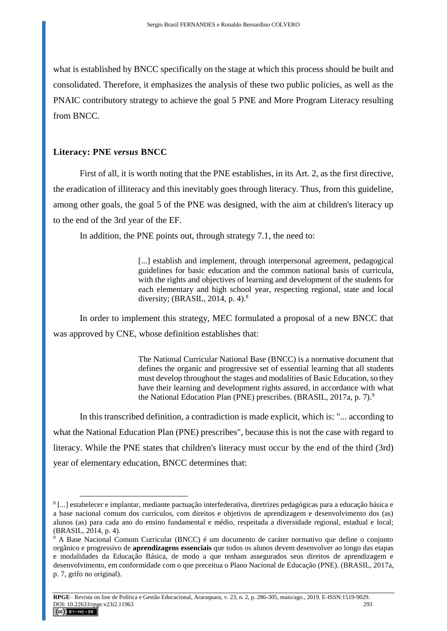what is established by BNCC specifically on the stage at which this process should be built and consolidated. Therefore, it emphasizes the analysis of these two public policies, as well as the PNAIC contributory strategy to achieve the goal 5 PNE and More Program Literacy resulting from BNCC.

## **Literacy: PNE** *versus* **BNCC**

 $\overline{a}$ 

First of all, it is worth noting that the PNE establishes, in its Art. 2, as the first directive, the eradication of illiteracy and this inevitably goes through literacy. Thus, from this guideline, among other goals, the goal 5 of the PNE was designed, with the aim at children's literacy up to the end of the 3rd year of the EF.

In addition, the PNE points out, through strategy 7.1, the need to:

[...] establish and implement, through interpersonal agreement, pedagogical guidelines for basic education and the common national basis of curricula, with the rights and objectives of learning and development of the students for each elementary and high school year, respecting regional, state and local diversity; (BRASIL, 2014, p. 4).<sup>8</sup>

In order to implement this strategy, MEC formulated a proposal of a new BNCC that was approved by CNE, whose definition establishes that:

> The National Curricular National Base (BNCC) is a normative document that defines the organic and progressive set of essential learning that all students must develop throughout the stages and modalities of Basic Education, so they have their learning and development rights assured, in accordance with what the National Education Plan (PNE) prescribes. (BRASIL, 2017a, p. 7).<sup>9</sup>

In this transcribed definition, a contradiction is made explicit, which is: "... according to what the National Education Plan (PNE) prescribes", because this is not the case with regard to literacy. While the PNE states that children's literacy must occur by the end of the third (3rd) year of elementary education, BNCC determines that:

<sup>8</sup> [...] estabelecer e implantar, mediante pactuação interfederativa, diretrizes pedagógicas para a educação básica e a base nacional comum dos currículos, com direitos e objetivos de aprendizagem e desenvolvimento dos (as) alunos (as) para cada ano do ensino fundamental e médio, respeitada a diversidade regional, estadual e local; (BRASIL, 2014, p. 4).

<sup>9</sup> A Base Nacional Comum Curricular (BNCC) é um documento de caráter normativo que define o conjunto orgânico e progressivo de **aprendizagens essenciais** que todos os alunos devem desenvolver ao longo das etapas e modalidades da Educação Básica, de modo a que tenham assegurados seus direitos de aprendizagem e desenvolvimento, em conformidade com o que preceitua o Plano Nacional de Educação (PNE). (BRASIL, 2017a, p. 7, grifo no original).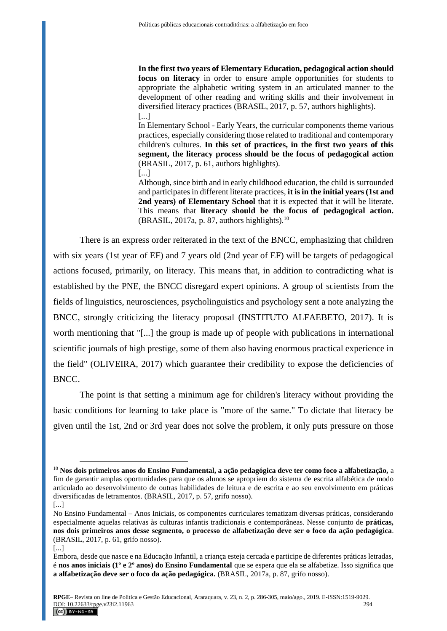**In the first two years of Elementary Education, pedagogical action should focus on literacy** in order to ensure ample opportunities for students to appropriate the alphabetic writing system in an articulated manner to the development of other reading and writing skills and their involvement in diversified literacy practices (BRASIL, 2017, p. 57, authors highlights). [...]

In Elementary School - Early Years, the curricular components theme various practices, especially considering those related to traditional and contemporary children's cultures. **In this set of practices, in the first two years of this segment, the literacy process should be the focus of pedagogical action**  (BRASIL, 2017, p. 61, authors highlights). [...]

Although, since birth and in early childhood education, the child is surrounded and participates in different literate practices, **it is in the initial years (1st and 2nd years) of Elementary School** that it is expected that it will be literate. This means that **literacy should be the focus of pedagogical action.** (BRASIL, 2017a, p. 87, authors highlights). $^{10}$ 

There is an express order reiterated in the text of the BNCC, emphasizing that children with six years (1st year of EF) and 7 years old (2nd year of EF) will be targets of pedagogical actions focused, primarily, on literacy. This means that, in addition to contradicting what is established by the PNE, the BNCC disregard expert opinions. A group of scientists from the fields of linguistics, neurosciences, psycholinguistics and psychology sent a note analyzing the BNCC, strongly criticizing the literacy proposal (INSTITUTO ALFAEBETO, 2017). It is worth mentioning that "[...] the group is made up of people with publications in international scientific journals of high prestige, some of them also having enormous practical experience in the field" (OLIVEIRA, 2017) which guarantee their credibility to expose the deficiencies of BNCC.

The point is that setting a minimum age for children's literacy without providing the basic conditions for learning to take place is "more of the same." To dictate that literacy be given until the 1st, 2nd or 3rd year does not solve the problem, it only puts pressure on those

[...]

<sup>10</sup> **Nos dois primeiros anos do Ensino Fundamental, a ação pedagógica deve ter como foco a alfabetização,** a fim de garantir amplas oportunidades para que os alunos se apropriem do sistema de escrita alfabética de modo articulado ao desenvolvimento de outras habilidades de leitura e de escrita e ao seu envolvimento em práticas diversificadas de letramentos. (BRASIL, 2017, p. 57, grifo nosso).

No Ensino Fundamental – Anos Iniciais, os componentes curriculares tematizam diversas práticas, considerando especialmente aquelas relativas às culturas infantis tradicionais e contemporâneas. Nesse conjunto de **práticas, nos dois primeiros anos desse segmento, o processo de alfabetização deve ser o foco da ação pedagógica**. (BRASIL, 2017, p. 61, grifo nosso).

<sup>[...]</sup>

Embora, desde que nasce e na Educação Infantil, a criança esteja cercada e participe de diferentes práticas letradas, é **nos anos iniciais (1º e 2º anos) do Ensino Fundamental** que se espera que ela se alfabetize. Isso significa que **a alfabetização deve ser o foco da ação pedagógica.** (BRASIL, 2017a, p. 87, grifo nosso).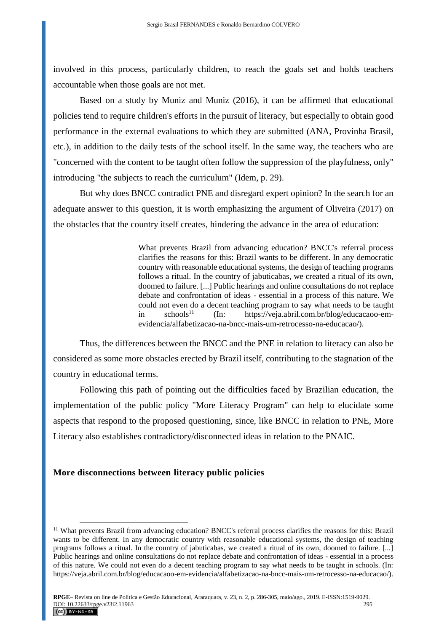involved in this process, particularly children, to reach the goals set and holds teachers accountable when those goals are not met.

Based on a study by Muniz and Muniz (2016), it can be affirmed that educational policies tend to require children's efforts in the pursuit of literacy, but especially to obtain good performance in the external evaluations to which they are submitted (ANA, Provinha Brasil, etc.), in addition to the daily tests of the school itself. In the same way, the teachers who are "concerned with the content to be taught often follow the suppression of the playfulness, only" introducing "the subjects to reach the curriculum" (Idem, p. 29).

But why does BNCC contradict PNE and disregard expert opinion? In the search for an adequate answer to this question, it is worth emphasizing the argument of Oliveira (2017) on the obstacles that the country itself creates, hindering the advance in the area of education:

> What prevents Brazil from advancing education? BNCC's referral process clarifies the reasons for this: Brazil wants to be different. In any democratic country with reasonable educational systems, the design of teaching programs follows a ritual. In the country of jabuticabas, we created a ritual of its own, doomed to failure. [...] Public hearings and online consultations do not replace debate and confrontation of ideas - essential in a process of this nature. We could not even do a decent teaching program to say what needs to be taught in schools<sup>11</sup> (In: https://veja.abril.com.br/blog/educacaoo-emevidencia/alfabetizacao-na-bncc-mais-um-retrocesso-na-educacao/).

Thus, the differences between the BNCC and the PNE in relation to literacy can also be considered as some more obstacles erected by Brazil itself, contributing to the stagnation of the country in educational terms.

Following this path of pointing out the difficulties faced by Brazilian education, the implementation of the public policy "More Literacy Program" can help to elucidate some aspects that respond to the proposed questioning, since, like BNCC in relation to PNE, More Literacy also establishes contradictory/disconnected ideas in relation to the PNAIC.

### **More disconnections between literacy public policies**

<sup>&</sup>lt;sup>11</sup> What prevents Brazil from advancing education? BNCC's referral process clarifies the reasons for this: Brazil wants to be different. In any democratic country with reasonable educational systems, the design of teaching programs follows a ritual. In the country of jabuticabas, we created a ritual of its own, doomed to failure. [...] Public hearings and online consultations do not replace debate and confrontation of ideas - essential in a process of this nature. We could not even do a decent teaching program to say what needs to be taught in schools. (In: https://veja.abril.com.br/blog/educacaoo-em-evidencia/alfabetizacao-na-bncc-mais-um-retrocesso-na-educacao/).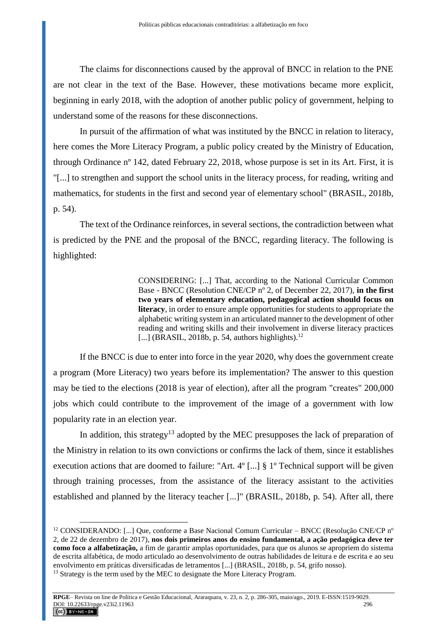The claims for disconnections caused by the approval of BNCC in relation to the PNE are not clear in the text of the Base. However, these motivations became more explicit, beginning in early 2018, with the adoption of another public policy of government, helping to understand some of the reasons for these disconnections.

In pursuit of the affirmation of what was instituted by the BNCC in relation to literacy, here comes the More Literacy Program, a public policy created by the Ministry of Education, through Ordinance nº 142, dated February 22, 2018, whose purpose is set in its Art. First, it is "[...] to strengthen and support the school units in the literacy process, for reading, writing and mathematics, for students in the first and second year of elementary school" (BRASIL, 2018b, p. 54).

The text of the Ordinance reinforces, in several sections, the contradiction between what is predicted by the PNE and the proposal of the BNCC, regarding literacy. The following is highlighted:

> CONSIDERING: [...] That, according to the National Curricular Common Base - BNCC (Resolution CNE/CP nº 2, of December 22, 2017), **in the first two years of elementary education, pedagogical action should focus on literacy**, in order to ensure ample opportunities for students to appropriate the alphabetic writing system in an articulated manner to the development of other reading and writing skills and their involvement in diverse literacy practices [...] (BRASIL, 2018b, p. 54, authors highlights). $^{12}$

If the BNCC is due to enter into force in the year 2020, why does the government create a program (More Literacy) two years before its implementation? The answer to this question may be tied to the elections (2018 is year of election), after all the program "creates" 200,000 jobs which could contribute to the improvement of the image of a government with low popularity rate in an election year.

In addition, this strategy<sup>13</sup> adopted by the MEC presupposes the lack of preparation of the Ministry in relation to its own convictions or confirms the lack of them, since it establishes execution actions that are doomed to failure: "Art. 4º [...] § 1º Technical support will be given through training processes, from the assistance of the literacy assistant to the activities established and planned by the literacy teacher [...]" (BRASIL, 2018b, p. 54). After all, there

<sup>&</sup>lt;sup>12</sup> CONSIDERANDO: [...] Que, conforme a Base Nacional Comum Curricular – BNCC (Resolução CNE/CP n<sup>o</sup> 2, de 22 de dezembro de 2017), **nos dois primeiros anos do ensino fundamental, a ação pedagógica deve ter como foco a alfabetização,** a fim de garantir amplas oportunidades, para que os alunos se apropriem do sistema de escrita alfabética, de modo articulado ao desenvolvimento de outras habilidades de leitura e de escrita e ao seu envolvimento em práticas diversificadas de letramentos [...] (BRASIL, 2018b, p. 54, grifo nosso).

<sup>&</sup>lt;sup>13</sup> Strategy is the term used by the MEC to designate the More Literacy Program.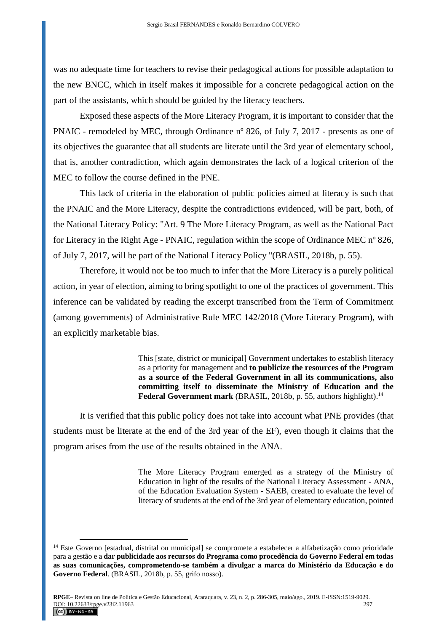was no adequate time for teachers to revise their pedagogical actions for possible adaptation to the new BNCC, which in itself makes it impossible for a concrete pedagogical action on the part of the assistants, which should be guided by the literacy teachers.

Exposed these aspects of the More Literacy Program, it is important to consider that the PNAIC - remodeled by MEC, through Ordinance nº 826, of July 7, 2017 - presents as one of its objectives the guarantee that all students are literate until the 3rd year of elementary school, that is, another contradiction, which again demonstrates the lack of a logical criterion of the MEC to follow the course defined in the PNE.

This lack of criteria in the elaboration of public policies aimed at literacy is such that the PNAIC and the More Literacy, despite the contradictions evidenced, will be part, both, of the National Literacy Policy: "Art. 9 The More Literacy Program, as well as the National Pact for Literacy in the Right Age - PNAIC, regulation within the scope of Ordinance MEC nº 826, of July 7, 2017, will be part of the National Literacy Policy "(BRASIL, 2018b, p. 55).

Therefore, it would not be too much to infer that the More Literacy is a purely political action, in year of election, aiming to bring spotlight to one of the practices of government. This inference can be validated by reading the excerpt transcribed from the Term of Commitment (among governments) of Administrative Rule MEC 142/2018 (More Literacy Program), with an explicitly marketable bias.

> This [state, district or municipal] Government undertakes to establish literacy as a priority for management and **to publicize the resources of the Program as a source of the Federal Government in all its communications, also committing itself to disseminate the Ministry of Education and the Federal Government mark** (BRASIL, 2018b, p. 55, authors highlight).<sup>14</sup>

It is verified that this public policy does not take into account what PNE provides (that students must be literate at the end of the 3rd year of the EF), even though it claims that the program arises from the use of the results obtained in the ANA.

> The More Literacy Program emerged as a strategy of the Ministry of Education in light of the results of the National Literacy Assessment - ANA, of the Education Evaluation System - SAEB, created to evaluate the level of literacy of students at the end of the 3rd year of elementary education, pointed

<sup>14</sup> Este Governo [estadual, distrital ou municipal] se compromete a estabelecer a alfabetização como prioridade para a gestão e a **dar publicidade aos recursos do Programa como procedência do Governo Federal em todas as suas comunicações, comprometendo-se também a divulgar a marca do Ministério da Educação e do Governo Federal**. (BRASIL, 2018b, p. 55, grifo nosso).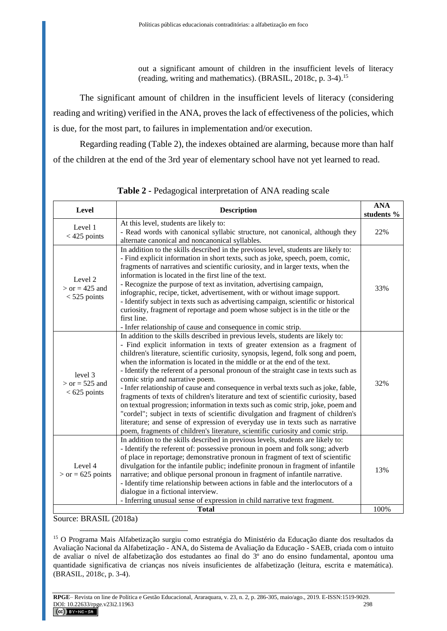out a significant amount of children in the insufficient levels of literacy (reading, writing and mathematics). (BRASIL, 2018c, p. 3-4).<sup>15</sup>

The significant amount of children in the insufficient levels of literacy (considering reading and writing) verified in the ANA, proves the lack of effectiveness of the policies, which is due, for the most part, to failures in implementation and/or execution.

Regarding reading (Table 2), the indexes obtained are alarming, because more than half of the children at the end of the 3rd year of elementary school have not yet learned to read.

| <b>Level</b>                                  | <b>Description</b>                                                                                                                                                                                                                                                                                                                                                                                                                                                                                                                                                                                                                                                                                                                                                                                                                                                                                                                                                                 | <b>ANA</b><br>students % |
|-----------------------------------------------|------------------------------------------------------------------------------------------------------------------------------------------------------------------------------------------------------------------------------------------------------------------------------------------------------------------------------------------------------------------------------------------------------------------------------------------------------------------------------------------------------------------------------------------------------------------------------------------------------------------------------------------------------------------------------------------------------------------------------------------------------------------------------------------------------------------------------------------------------------------------------------------------------------------------------------------------------------------------------------|--------------------------|
| Level 1<br>$<$ 425 points                     | At this level, students are likely to:<br>- Read words with canonical syllabic structure, not canonical, although they<br>alternate canonical and noncanonical syllables.                                                                                                                                                                                                                                                                                                                                                                                                                                                                                                                                                                                                                                                                                                                                                                                                          | 22%                      |
| Level 2<br>$>$ or = 425 and<br>$<$ 525 points | In addition to the skills described in the previous level, students are likely to:<br>- Find explicit information in short texts, such as joke, speech, poem, comic,<br>fragments of narratives and scientific curiosity, and in larger texts, when the<br>information is located in the first line of the text.<br>- Recognize the purpose of text as invitation, advertising campaign,<br>infographic, recipe, ticket, advertisement, with or without image support.<br>- Identify subject in texts such as advertising campaign, scientific or historical<br>curiosity, fragment of reportage and poem whose subject is in the title or the<br>first line.<br>- Infer relationship of cause and consequence in comic strip.                                                                                                                                                                                                                                                     | 33%                      |
| level 3<br>$>$ or = 525 and<br>$< 625$ points | In addition to the skills described in previous levels, students are likely to:<br>- Find explicit information in texts of greater extension as a fragment of<br>children's literature, scientific curiosity, synopsis, legend, folk song and poem,<br>when the information is located in the middle or at the end of the text.<br>- Identify the referent of a personal pronoun of the straight case in texts such as<br>comic strip and narrative poem.<br>- Infer relationship of cause and consequence in verbal texts such as joke, fable,<br>fragments of texts of children's literature and text of scientific curiosity, based<br>on textual progression; information in texts such as comic strip, joke, poem and<br>"cordel"; subject in texts of scientific divulgation and fragment of children's<br>literature; and sense of expression of everyday use in texts such as narrative<br>poem, fragments of children's literature, scientific curiosity and comic strip. | 32%                      |
| Level 4<br>$>$ or = 625 points                | In addition to the skills described in previous levels, students are likely to:<br>- Identify the referent of: possessive pronoun in poem and folk song; adverb<br>of place in reportage; demonstrative pronoun in fragment of text of scientific<br>divulgation for the infantile public; indefinite pronoun in fragment of infantile<br>narrative; and oblique personal pronoun in fragment of infantile narrative.<br>- Identify time relationship between actions in fable and the interlocutors of a<br>dialogue in a fictional interview.<br>- Inferring unusual sense of expression in child narrative text fragment.                                                                                                                                                                                                                                                                                                                                                       | 13%                      |
| 100%<br><b>Total</b>                          |                                                                                                                                                                                                                                                                                                                                                                                                                                                                                                                                                                                                                                                                                                                                                                                                                                                                                                                                                                                    |                          |

**Table 2 -** Pedagogical interpretation of ANA reading scale

Source: BRASIL (2018a)

 $\overline{a}$ 

<sup>15</sup> O Programa Mais Alfabetização surgiu como estratégia do Ministério da Educação diante dos resultados da Avaliação Nacional da Alfabetização - ANA, do Sistema de Avaliação da Educação - SAEB, criada com o intuito de avaliar o nível de alfabetização dos estudantes ao final do 3º ano do ensino fundamental, apontou uma quantidade significativa de crianças nos níveis insuficientes de alfabetização (leitura, escrita e matemática). (BRASIL, 2018c, p. 3-4).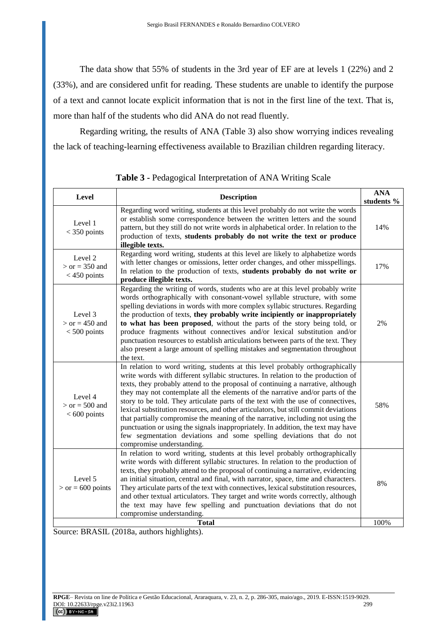The data show that 55% of students in the 3rd year of EF are at levels 1 (22%) and 2 (33%), and are considered unfit for reading. These students are unable to identify the purpose of a text and cannot locate explicit information that is not in the first line of the text. That is, more than half of the students who did ANA do not read fluently.

Regarding writing, the results of ANA (Table 3) also show worrying indices revealing the lack of teaching-learning effectiveness available to Brazilian children regarding literacy.

| Level                                         | <b>Description</b>                                                                                                                                                                                                                                                                                                                                                                                                                                                                                                                                                                                                                                                                                                                                                                            | <b>ANA</b><br>students % |
|-----------------------------------------------|-----------------------------------------------------------------------------------------------------------------------------------------------------------------------------------------------------------------------------------------------------------------------------------------------------------------------------------------------------------------------------------------------------------------------------------------------------------------------------------------------------------------------------------------------------------------------------------------------------------------------------------------------------------------------------------------------------------------------------------------------------------------------------------------------|--------------------------|
| Level 1<br>$<$ 350 points                     | Regarding word writing, students at this level probably do not write the words<br>or establish some correspondence between the written letters and the sound<br>pattern, but they still do not write words in alphabetical order. In relation to the<br>production of texts, students probably do not write the text or produce<br>illegible texts.                                                                                                                                                                                                                                                                                                                                                                                                                                           | 14%                      |
| Level 2<br>$>$ or = 350 and<br>$<$ 450 points | Regarding word writing, students at this level are likely to alphabetize words<br>with letter changes or omissions, letter order changes, and other misspellings.<br>In relation to the production of texts, students probably do not write or<br>produce illegible texts.                                                                                                                                                                                                                                                                                                                                                                                                                                                                                                                    | 17%                      |
| Level 3<br>$>$ or = 450 and<br>$< 500$ points | Regarding the writing of words, students who are at this level probably write<br>words orthographically with consonant-vowel syllable structure, with some<br>spelling deviations in words with more complex syllabic structures. Regarding<br>the production of texts, they probably write incipiently or inappropriately<br>to what has been proposed, without the parts of the story being told, or<br>produce fragments without connectives and/or lexical substitution and/or<br>punctuation resources to establish articulations between parts of the text. They<br>also present a large amount of spelling mistakes and segmentation throughout<br>the text.                                                                                                                           | 2%                       |
| Level 4<br>$>$ or = 500 and<br>$< 600$ points | In relation to word writing, students at this level probably orthographically<br>write words with different syllabic structures. In relation to the production of<br>texts, they probably attend to the proposal of continuing a narrative, although<br>they may not contemplate all the elements of the narrative and/or parts of the<br>story to be told. They articulate parts of the text with the use of connectives,<br>lexical substitution resources, and other articulators, but still commit deviations<br>that partially compromise the meaning of the narrative, including not using the<br>punctuation or using the signals inappropriately. In addition, the text may have<br>few segmentation deviations and some spelling deviations that do not<br>compromise understanding. | 58%                      |
| Level 5<br>$>$ or = 600 points                | In relation to word writing, students at this level probably orthographically<br>write words with different syllabic structures. In relation to the production of<br>texts, they probably attend to the proposal of continuing a narrative, evidencing<br>an initial situation, central and final, with narrator, space, time and characters.<br>They articulate parts of the text with connectives, lexical substitution resources,<br>and other textual articulators. They target and write words correctly, although<br>the text may have few spelling and punctuation deviations that do not<br>compromise understanding.                                                                                                                                                                 | 8%                       |
|                                               | <b>Total</b>                                                                                                                                                                                                                                                                                                                                                                                                                                                                                                                                                                                                                                                                                                                                                                                  | 100%                     |

**Table 3 -** Pedagogical Interpretation of ANA Writing Scale

Source: BRASIL (2018a, authors highlights).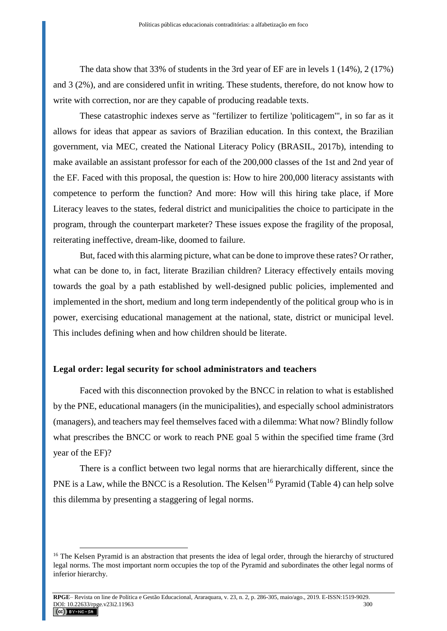The data show that 33% of students in the 3rd year of EF are in levels 1 (14%), 2 (17%) and 3 (2%), and are considered unfit in writing. These students, therefore, do not know how to write with correction, nor are they capable of producing readable texts.

These catastrophic indexes serve as "fertilizer to fertilize 'politicagem'", in so far as it allows for ideas that appear as saviors of Brazilian education. In this context, the Brazilian government, via MEC, created the National Literacy Policy (BRASIL, 2017b), intending to make available an assistant professor for each of the 200,000 classes of the 1st and 2nd year of the EF. Faced with this proposal, the question is: How to hire 200,000 literacy assistants with competence to perform the function? And more: How will this hiring take place, if More Literacy leaves to the states, federal district and municipalities the choice to participate in the program, through the counterpart marketer? These issues expose the fragility of the proposal, reiterating ineffective, dream-like, doomed to failure.

But, faced with this alarming picture, what can be done to improve these rates? Or rather, what can be done to, in fact, literate Brazilian children? Literacy effectively entails moving towards the goal by a path established by well-designed public policies, implemented and implemented in the short, medium and long term independently of the political group who is in power, exercising educational management at the national, state, district or municipal level. This includes defining when and how children should be literate.

### **Legal order: legal security for school administrators and teachers**

 $\overline{a}$ 

Faced with this disconnection provoked by the BNCC in relation to what is established by the PNE, educational managers (in the municipalities), and especially school administrators (managers), and teachers may feel themselves faced with a dilemma: What now? Blindly follow what prescribes the BNCC or work to reach PNE goal 5 within the specified time frame (3rd year of the EF)?

There is a conflict between two legal norms that are hierarchically different, since the PNE is a Law, while the BNCC is a Resolution. The Kelsen<sup>16</sup> Pyramid (Table 4) can help solve this dilemma by presenting a staggering of legal norms.

<sup>&</sup>lt;sup>16</sup> The Kelsen Pyramid is an abstraction that presents the idea of legal order, through the hierarchy of structured legal norms. The most important norm occupies the top of the Pyramid and subordinates the other legal norms of inferior hierarchy.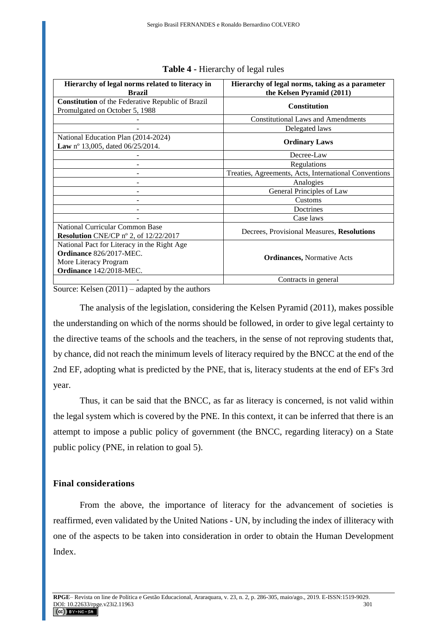| Hierarchy of legal norms related to literacy in          | Hierarchy of legal norms, taking as a parameter       |  |
|----------------------------------------------------------|-------------------------------------------------------|--|
| <b>Brazil</b>                                            | the Kelsen Pyramid (2011)                             |  |
| <b>Constitution</b> of the Federative Republic of Brazil | <b>Constitution</b>                                   |  |
| Promulgated on October 5, 1988                           |                                                       |  |
|                                                          | <b>Constitutional Laws and Amendments</b>             |  |
|                                                          | Delegated laws                                        |  |
| National Education Plan (2014-2024)                      | <b>Ordinary Laws</b>                                  |  |
| Law nº 13,005, dated 06/25/2014.                         |                                                       |  |
|                                                          | Decree-Law                                            |  |
|                                                          | Regulations                                           |  |
|                                                          | Treaties, Agreements, Acts, International Conventions |  |
|                                                          | Analogies                                             |  |
|                                                          | General Principles of Law                             |  |
|                                                          | Customs                                               |  |
|                                                          | Doctrines                                             |  |
|                                                          | Case laws                                             |  |
| National Curricular Common Base                          | Decrees, Provisional Measures, Resolutions            |  |
| Resolution CNE/CP nº 2, of 12/22/2017                    |                                                       |  |
| National Pact for Literacy in the Right Age              | <b>Ordinances, Normative Acts</b>                     |  |
| Ordinance 826/2017-MEC.                                  |                                                       |  |
| More Literacy Program                                    |                                                       |  |
| Ordinance 142/2018-MEC.                                  |                                                       |  |
|                                                          | Contracts in general                                  |  |

### **Table 4 -** Hierarchy of legal rules

Source: Kelsen (2011) – adapted by the authors

The analysis of the legislation, considering the Kelsen Pyramid (2011), makes possible the understanding on which of the norms should be followed, in order to give legal certainty to the directive teams of the schools and the teachers, in the sense of not reproving students that, by chance, did not reach the minimum levels of literacy required by the BNCC at the end of the 2nd EF, adopting what is predicted by the PNE, that is, literacy students at the end of EF's 3rd year.

Thus, it can be said that the BNCC, as far as literacy is concerned, is not valid within the legal system which is covered by the PNE. In this context, it can be inferred that there is an attempt to impose a public policy of government (the BNCC, regarding literacy) on a State public policy (PNE, in relation to goal 5).

## **Final considerations**

From the above, the importance of literacy for the advancement of societies is reaffirmed, even validated by the United Nations - UN, by including the index of illiteracy with one of the aspects to be taken into consideration in order to obtain the Human Development Index.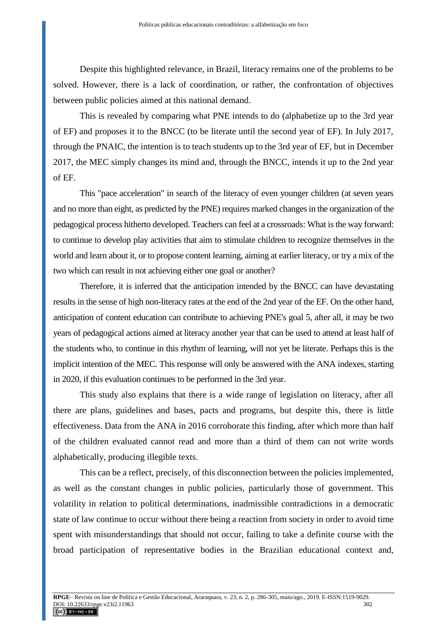Despite this highlighted relevance, in Brazil, literacy remains one of the problems to be solved. However, there is a lack of coordination, or rather, the confrontation of objectives between public policies aimed at this national demand.

This is revealed by comparing what PNE intends to do (alphabetize up to the 3rd year of EF) and proposes it to the BNCC (to be literate until the second year of EF). In July 2017, through the PNAIC, the intention is to teach students up to the 3rd year of EF, but in December 2017, the MEC simply changes its mind and, through the BNCC, intends it up to the 2nd year of EF.

This "pace acceleration" in search of the literacy of even younger children (at seven years and no more than eight, as predicted by the PNE) requires marked changes in the organization of the pedagogical process hitherto developed. Teachers can feel at a crossroads: What is the way forward: to continue to develop play activities that aim to stimulate children to recognize themselves in the world and learn about it, or to propose content learning, aiming at earlier literacy, or try a mix of the two which can result in not achieving either one goal or another?

Therefore, it is inferred that the anticipation intended by the BNCC can have devastating results in the sense of high non-literacy rates at the end of the 2nd year of the EF. On the other hand, anticipation of content education can contribute to achieving PNE's goal 5, after all, it may be two years of pedagogical actions aimed at literacy another year that can be used to attend at least half of the students who, to continue in this rhythm of learning, will not yet be literate. Perhaps this is the implicit intention of the MEC. This response will only be answered with the ANA indexes, starting in 2020, if this evaluation continues to be performed in the 3rd year.

This study also explains that there is a wide range of legislation on literacy, after all there are plans, guidelines and bases, pacts and programs, but despite this, there is little effectiveness. Data from the ANA in 2016 corroborate this finding, after which more than half of the children evaluated cannot read and more than a third of them can not write words alphabetically, producing illegible texts.

This can be a reflect, precisely, of this disconnection between the policies implemented, as well as the constant changes in public policies, particularly those of government. This volatility in relation to political determinations, inadmissible contradictions in a democratic state of law continue to occur without there being a reaction from society in order to avoid time spent with misunderstandings that should not occur, failing to take a definite course with the broad participation of representative bodies in the Brazilian educational context and,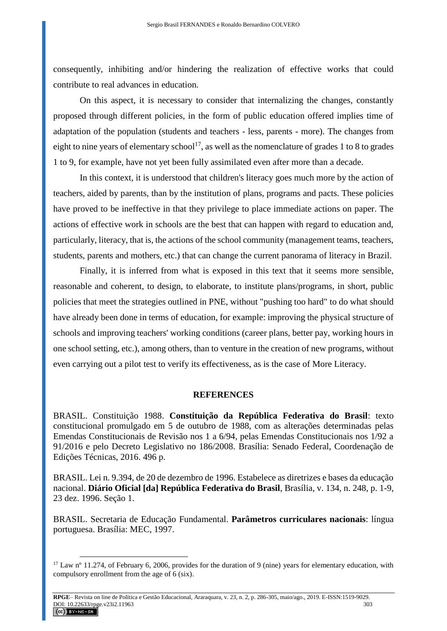consequently, inhibiting and/or hindering the realization of effective works that could contribute to real advances in education.

On this aspect, it is necessary to consider that internalizing the changes, constantly proposed through different policies, in the form of public education offered implies time of adaptation of the population (students and teachers - less, parents - more). The changes from eight to nine years of elementary school<sup>17</sup>, as well as the nomenclature of grades 1 to 8 to grades 1 to 9, for example, have not yet been fully assimilated even after more than a decade.

In this context, it is understood that children's literacy goes much more by the action of teachers, aided by parents, than by the institution of plans, programs and pacts. These policies have proved to be ineffective in that they privilege to place immediate actions on paper. The actions of effective work in schools are the best that can happen with regard to education and, particularly, literacy, that is, the actions of the school community (management teams, teachers, students, parents and mothers, etc.) that can change the current panorama of literacy in Brazil.

Finally, it is inferred from what is exposed in this text that it seems more sensible, reasonable and coherent, to design, to elaborate, to institute plans/programs, in short, public policies that meet the strategies outlined in PNE, without "pushing too hard" to do what should have already been done in terms of education, for example: improving the physical structure of schools and improving teachers' working conditions (career plans, better pay, working hours in one school setting, etc.), among others, than to venture in the creation of new programs, without even carrying out a pilot test to verify its effectiveness, as is the case of More Literacy.

### **REFERENCES**

BRASIL. Constituição 1988. **Constituição da República Federativa do Brasil**: texto constitucional promulgado em 5 de outubro de 1988, com as alterações determinadas pelas Emendas Constitucionais de Revisão nos 1 a 6/94, pelas Emendas Constitucionais nos 1/92 a 91/2016 e pelo Decreto Legislativo no 186/2008. Brasília: Senado Federal, Coordenação de Edições Técnicas, 2016. 496 p.

BRASIL. Lei n. 9.394, de 20 de dezembro de 1996. Estabelece as diretrizes e bases da educação nacional. **Diário Oficial [da] República Federativa do Brasil**, Brasília, v. 134, n. 248, p. 1-9, 23 dez. 1996. Seção 1.

BRASIL. Secretaria de Educação Fundamental. **Parâmetros curriculares nacionais**: língua portuguesa. Brasília: MEC, 1997.

 $17$  Law n° 11.274, of February 6, 2006, provides for the duration of 9 (nine) years for elementary education, with compulsory enrollment from the age of 6 (six).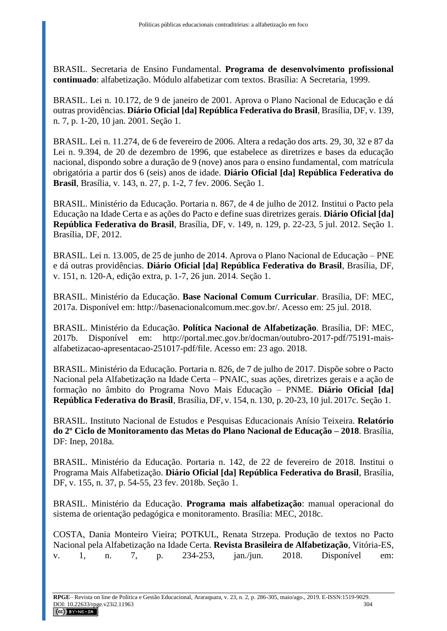BRASIL. Secretaria de Ensino Fundamental. **Programa de desenvolvimento profissional continuado**: alfabetização. Módulo alfabetizar com textos. Brasília: A Secretaria, 1999.

BRASIL. Lei n. 10.172, de 9 de janeiro de 2001. Aprova o Plano Nacional de Educação e dá outras providências. **Diário Oficial [da] República Federativa do Brasil**, Brasília, DF, v. 139, n. 7, p. 1-20, 10 jan. 2001. Seção 1.

BRASIL. Lei n. 11.274, de 6 de fevereiro de 2006. Altera a redação dos arts. 29, 30, 32 e 87 da Lei n. 9.394, de 20 de dezembro de 1996, que estabelece as diretrizes e bases da educação nacional, dispondo sobre a duração de 9 (nove) anos para o ensino fundamental, com matrícula obrigatória a partir dos 6 (seis) anos de idade. **Diário Oficial [da] República Federativa do Brasil**, Brasília, v. 143, n. 27, p. 1-2, 7 fev. 2006. Seção 1.

BRASIL. Ministério da Educação. Portaria n. 867, de 4 de julho de 2012. Institui o Pacto pela Educação na Idade Certa e as ações do Pacto e define suas diretrizes gerais. **Diário Oficial [da] República Federativa do Brasil**, Brasília, DF, v. 149, n. 129, p. 22-23, 5 jul. 2012. Seção 1. Brasília, DF, 2012.

BRASIL. Lei n. 13.005, de 25 de junho de 2014. Aprova o Plano Nacional de Educação – PNE e dá outras providências. **Diário Oficial [da] República Federativa do Brasil**, Brasília, DF, v. 151, n. 120-A, edição extra, p. 1-7, 26 jun. 2014. Seção 1.

BRASIL. Ministério da Educação. **Base Nacional Comum Curricular**. Brasília, DF: MEC, 2017a. Disponível em: http://basenacionalcomum.mec.gov.br/. Acesso em: 25 jul. 2018.

BRASIL. Ministério da Educação. **Política Nacional de Alfabetização**. Brasília, DF: MEC, 2017b. Disponível em: http://portal.mec.gov.br/docman/outubro-2017-pdf/75191-maisalfabetizacao-apresentacao-251017-pdf/file. Acesso em: 23 ago. 2018.

BRASIL. Ministério da Educação. Portaria n. 826, de 7 de julho de 2017. Dispõe sobre o Pacto Nacional pela Alfabetização na Idade Certa – PNAIC, suas ações, diretrizes gerais e a ação de formação no âmbito do Programa Novo Mais Educação – PNME. **Diário Oficial [da] República Federativa do Brasil**, Brasília, DF, v. 154, n. 130, p. 20-23, 10 jul. 2017c. Seção 1.

BRASIL. Instituto Nacional de Estudos e Pesquisas Educacionais Anísio Teixeira. **Relatório do 2º Ciclo de Monitoramento das Metas do Plano Nacional de Educação – 2018**. Brasília, DF: Inep, 2018a.

BRASIL. Ministério da Educação. Portaria n. 142, de 22 de fevereiro de 2018. Institui o Programa Mais Alfabetização. **Diário Oficial [da] República Federativa do Brasil**, Brasília, DF, v. 155, n. 37, p. 54-55, 23 fev. 2018b. Seção 1.

BRASIL. Ministério da Educação. **Programa mais alfabetização**: manual operacional do sistema de orientação pedagógica e monitoramento. Brasília: MEC, 2018c.

COSTA, Dania Monteiro Vieira; POTKUL, Renata Strzepa. Produção de textos no Pacto Nacional pela Alfabetização na Idade Certa. **Revista Brasileira de Alfabetização**, Vitória-ES, v. 1, n. 7, p. 234-253, jan./jun. 2018. Disponível em: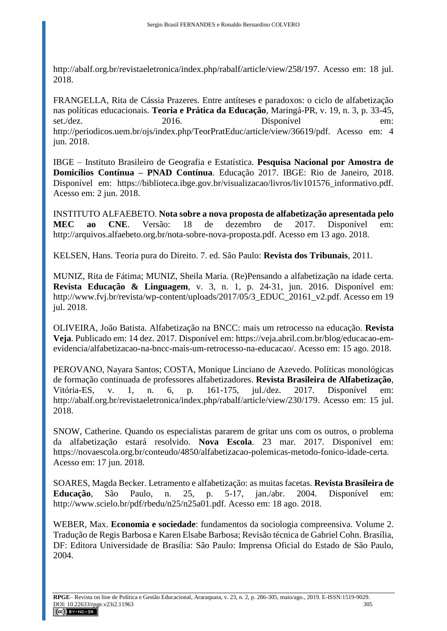http://abalf.org.br/revistaeletronica/index.php/rabalf/article/view/258/197. Acesso em: 18 jul. 2018.

FRANGELLA, Rita de Cássia Prazeres. Entre antíteses e paradoxos: o ciclo de alfabetização nas políticas educacionais. **Teoria e Prática da Educação**, Maringá-PR, v. 19, n. 3, p. 33-45, set./dez. 2016. Disponível em: http://periodicos.uem.br/ojs/index.php/TeorPratEduc/article/view/36619/pdf. Acesso em: 4 jun. 2018.

IBGE – Instituto Brasileiro de Geografia e Estatística. **Pesquisa Nacional por Amostra de Domicílios Contínua – PNAD Contínua**. Educação 2017. IBGE: Rio de Janeiro, 2018. Disponível em: https://biblioteca.ibge.gov.br/visualizacao/livros/liv101576\_informativo.pdf. Acesso em: 2 jun. 2018.

INSTITUTO ALFAEBETO. **Nota sobre a nova proposta de alfabetização apresentada pelo MEC ao CNE**. Versão: 18 de dezembro de 2017. Disponível em: http://arquivos.alfaebeto.org.br/nota-sobre-nova-proposta.pdf. Acesso em 13 ago. 2018.

KELSEN, Hans. Teoria pura do Direito. 7. ed. São Paulo: **Revista dos Tribunais**, 2011.

MUNIZ, Rita de Fátima; MUNIZ, Sheila Maria. (Re)Pensando a alfabetização na idade certa. **Revista Educação & Linguagem**, v. 3, n. 1, p. 24‐31, jun. 2016. Disponível em: http://www.fvj.br/revista/wp-content/uploads/2017/05/3\_EDUC\_20161\_v2.pdf. Acesso em 19 jul. 2018.

OLIVEIRA, João Batista. Alfabetização na BNCC: mais um retrocesso na educação. **Revista Veja**. Publicado em: 14 dez. 2017. Disponível em: [https://veja.abril.com.br/blog/educacao-em](https://veja.abril.com.br/blog/educacao-em-evidencia/alfabetizacao-na-bncc-mais-um-retrocesso-na-educacao/)[evidencia/alfabetizacao-na-bncc-mais-um-retrocesso-na-educacao/.](https://veja.abril.com.br/blog/educacao-em-evidencia/alfabetizacao-na-bncc-mais-um-retrocesso-na-educacao/) Acesso em: 15 ago. 2018.

PEROVANO, Nayara Santos; COSTA, Monique Linciano de Azevedo. Políticas monológicas de formação continuada de professores alfabetizadores. **Revista Brasileira de Alfabetização**, Vitória-ES, v. 1, n. 6, p. 161-175, jul./dez. 2017. Disponível em: http://abalf.org.br/revistaeletronica/index.php/rabalf/article/view/230/179. Acesso em: 15 jul. 2018.

SNOW, Catherine. Quando os especialistas pararem de gritar uns com os outros, o problema da alfabetização estará resolvido. **Nova Escola**. 23 mar. 2017. Disponível em: https://novaescola.org.br/conteudo/4850/alfabetizacao-polemicas-metodo-fonico-idade-certa. Acesso em: 17 jun. 2018.

SOARES, Magda Becker. Letramento e alfabetização: as muitas facetas. **Revista Brasileira de Educação**, São Paulo, n. 25, p. 5-17, jan./abr. 2004. Disponível em: http://www.scielo.br/pdf/rbedu/n25/n25a01.pdf. Acesso em: 18 ago. 2018.

WEBER, Max. **Economia e sociedade**: fundamentos da sociologia compreensiva. Volume 2. Tradução de Regis Barbosa e Karen Elsabe Barbosa; Revisão técnica de Gabriel Cohn. Brasília, DF: Editora Universidade de Brasília: São Paulo: Imprensa Oficial do Estado de São Paulo, 2004.